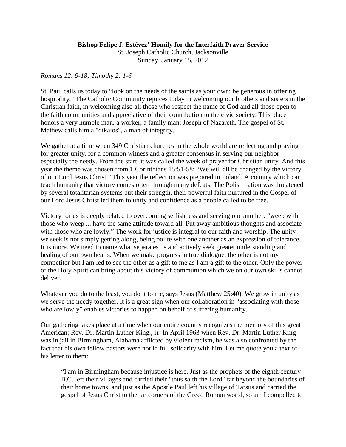## **Bishop Felipe J. Estévez' Homily for the Interfaith Prayer Service**

St. Joseph Catholic Church, Jacksonville Sunday, January 15, 2012

## *Romans 12: 9-18; Timothy 2: 1-6*

St. Paul calls us today to "look on the needs of the saints as your own; be generous in offering hospitality." The Catholic Community rejoices today in welcoming our brothers and sisters in the Christian faith, in welcoming also all those who respect the name of God and all those open to the faith communities and appreciative of their contribution to the civic society. This place honors a very humble man, a worker, a family man: Joseph of Nazareth. The gospel of St. Mathew calls him a "dikaios", a man of integrity.

We gather at a time when 349 Christian churches in the whole world are reflecting and praying for greater unity, for a common witness and a greater consensus in serving our neighbor especially the needy. From the start, it was called the week of prayer for Christian unity. And this year the theme was chosen from 1 Corinthians 15:51-58: "We will all be changed by the victory of our Lord Jesus Christ." This year the reflection was prepared in Poland. A country which can teach humanity that victory comes often through many defeats. The Polish nation was threatened by several totalitarian systems but their strength, their powerful faith nurtured in the Gospel of our Lord Jesus Christ led them to unity and confidence as a people called to be free.

Victory for us is deeply related to overcoming selfishness and serving one another: "weep with those who weep ... have the same attitude toward all. Put away ambitious thoughts and associate with those who are lowly." The work for justice is integral to our faith and worship. The unity we seek is not simply getting along, being polite with one another as an expression of tolerance. It is more. We need to name what separates us and actively seek greater understanding and healing of our own hearts. When we make progress in true dialogue, the other is not my competitor but I am led to see the other as a gift to me as I am a gift to the other. Only the power of the Holy Spirit can bring about this victory of communion which we on our own skills cannot deliver.

Whatever you do to the least, you do it to me, says Jesus (Matthew 25:40). We grow in unity as we serve the needy together. It is a great sign when our collaboration in "associating with those who are lowly" enables victories to happen on behalf of suffering humanity.

Our gathering takes place at a time when our entire country recognizes the memory of this great American: Rev. Dr. Martin Luther King., Jr. In April 1963 when Rev. Dr. Martin Luther King was in jail in Birmingham, Alabama afflicted by violent racism, he was also confronted by the fact that his own fellow pastors were not in full solidarity with him. Let me quote you a text of his letter to them:

"I am in Birmingham because injustice is here. Just as the prophets of the eighth century B.C. left their villages and carried their "thus saith the Lord" far beyond the boundaries of their home towns, and just as the Apostle Paul left his village of Tarsus and carried the gospel of Jesus Christ to the far corners of the Greco Roman world, so am I compelled to